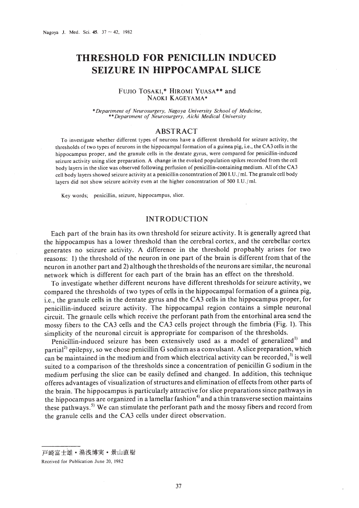# **THRESHOLD FOR PENICILLIN INDUCED SEIZURE IN HIPPOCAMPAL SLICE**

# FUJIO TOSAKI,\* HIROMI YUASA\*\* and NAOKI KAGEYAMA\*

*\*Department of Neurosurgery, Nagoya University School of Medicine,* \*\* *Department of Neurosurgery, Aichi Medical University*

## ABSTRACT

To investigate whether different types of neurons have a different threshold for seizure activity, the thresholds oftwo types of neurons in the hippocampal formation of a guinea pig, i.e., the CA3 cells in the hippocampus proper, and the granule cells in the dentate gyrus, were compared for penicillin-induced seizure activity using slice preparation. A change in the evoked population spikes recorded from the cell body layers in the slice was observed following perfusion of penicillin-containing medium. All ofthe CA3 cell body layers showed seizure activity at a penicillin concentration of 200 I.U./ml. The granule cell body layers did not show seizure acitvity even at the higher concentration of 500 *I.U./m!.*

Key words; penicillin, seizure, hippocampus, slice.

# INTRODUCTION

Each part of the brain has its own threshold for seizure activity. It is generally agreed that the hippocampus has a lower threshold than the cerebral cortex, and the cerebellar cortex generates no seizure activity. A difference in the threshold propbably arises for two reasons: I) the threshold of the neuron in one part of the brain is different from that of the neuron in another part and 2) although the thresholds of the neurons are similar, the neuronal network which is different for each part of the brain has an effect on the threshold.

To investigate whether different neurons have different thresholds for seizure activity, we compared the thresholds of two types of cells in the hippocampal formation of a guinea pig, i.e., the granule cells in the dentate gyrus and the CA3 cells in the hippocampus proper, for penicillin-induced seizure activity. The hippocampal region contains a simple neuronal circuit. The grnaule cells which receive the perforant path from the entorhinal area send the mossy fibers to the CA3 cells and the CA3 cells project through the fimbria (Fig. 1). This simplicity of the neuronal circuit is appropriate for comparison of the thresholds,

Penicillin-induced seizure has been extensively used as a model of generalized<sup>11</sup> and partial<sup>2)</sup> epilepsy, so we chose penicillin G sodium as a convulsant. A slice preparation, which can be maintained in the medium and from which electrical activity can be recorded, $3$  is well suited to a comparison of the thresholds since a concentration of penicillin G sodium in the medium perfusing the slice can be easily defined and changed. **In** addition, this technique offeres advantages of visualization ofstructures and elimination of effects from other parts of the brain. The hippocampus is particularly attractive for slice preparations since pathways in the hippocampus are organized in a lamellar fashion<sup>4)</sup> and a thin transverse section maintains these pathways.<sup>5)</sup> We can stimulate the perforant path and the mossy fibers and record from the granule cells and the CA3 cells under direct observation.

戸崎富士雄 • 湯浅博実 • 景山直樹

Received for Publication June 20, 1982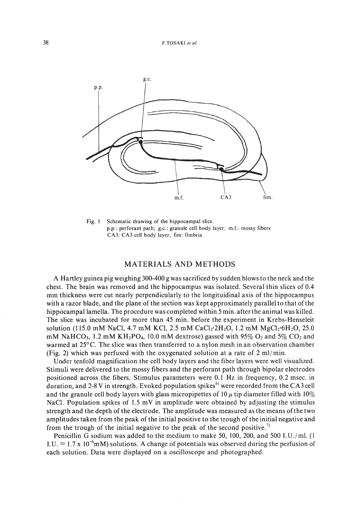

Fig. I Schematic drawing of the hippocampal slice. p.p.: perforant path; g.c.: granule cell body layer; m.L: mossy fibers CA3: CA3 cell body layer; fim: fimbria

# MATERIALS AND METHODS

A Hartley guinea pig weighing 300-400 g was sacrificed by sudden blows to the neck and the chest. The brain was removed and the hippocampus was isolated. Several thin slices of 0.4 mm thickness were cut nearly perpendicularly to the longituidinal axis of the hippocampus with a razor blade, and the plane of the section was kept approximately parallel to that ofthe hippocampal lamella. The procedure was completed within 5min. after the animal was killed. The slice was incubated for more than 45 min. before the experiment in Krebs-Henseleit solution (115.0 mM NaCl, 4.7 mM KCl, 2.5 mM CaCl<sub>2</sub>·2H<sub>2</sub>O, 1.2 mM MgCl<sub>2</sub>·6H<sub>2</sub>O, 25.0 mM NaHCO<sub>3</sub>, 1.2 mM KH<sub>2</sub>PO<sub>4</sub>, 10.0 mM dextrose) gassed with 95% O<sub>2</sub> and 5% CO<sub>2</sub> and warmed at 25°C. The slice was then transferred to a nylon mesh in an observation chamber (Fig. 2) which was perfused with the oxygenated solution at a rate of 2 ml/ min.

Under tenfold magnification the cell body layers and the fiber layers were well visualized. Stimuli were delivered to the mossy fibers and the perforant path through bipolar electrodes positioned across the fibers. Stimulus parameters were 0.1 Hz in frequency, 0.2 msec. in duration, and 2-8 V in strength. Evoked population spikes<sup>6)</sup> were recorded from the CA3 cell and the granule cell body layers with glass micropipettes of 10  $\mu$  tip diameter filled with 10% NaC!. Population spikes of 1.5 mV in amplitude were obtained by adjusting the stimulus strength and the depth of the electrode. The amplitude was measured as the means ofthe two amplitudes taken from the peak of the initial positive to the trough of the initial negative and from the trough of the initial negative to the peak of the second positive.<sup>7)</sup>

Penicillin G sodium was added to the medium to make 50, 100, 200, and 500 I.U./ml.  $(1)$ I.U. = 1.7 x 10<sup>-6</sup>mM) solutions. A change of potentials was observed during the perfusion of each solution. Data were displayed on a oscilloscope and photographed.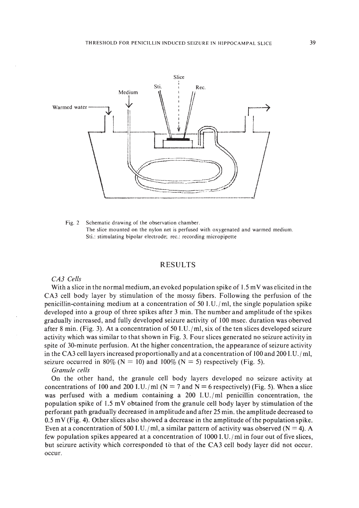

Fig. 2 Schematic drawing of the observation chamber. The slice mounted on the nylon net is perfused with oxygenated and warmed medium. Sti.: stimulating bipolar electrode; rec.: recording micropipette

## RESULTS

### *CA3 Cells*

With a slice in the normal medium, an evoked population spike of  $1.5 \text{ mV}$  was elicited in the CA3 cell body layer by stimulation of the mossy fibers. Following the perfusion of the penicillin-containing medium at a concentration of  $50$  I.U./ml, the single population spike developed into a group of three spikes after 3 min. The number and amplitude of the spikes gradually increased, and fully developed seizure activity of 100 msec. duration was oberved after 8 min. (Fig. 3). At a concentration of 50 I.U./ml, six of the ten slices developed seizure activity which was similar to that shown in Fig. 3. Four slices generated no seizure activity in spite of 30-minute perfusion. At the higher concentration, the appearance of seizure activity in the CA3 cell layers increased proportionally and at a concentration of  $100$  and  $200$  I.U./ml, seizure occurred in 80% ( $N = 10$ ) and 100% ( $N = 5$ ) respectively (Fig. 5).

#### *Granule cells*

On the other hand, the granule cell body layers developed no seizure activity at concentrations of 100 and 200 I.U./ml ( $N = 7$  and  $N = 6$  respectively) (Fig. 5). When a slice was perfused with a medium containing a  $200$  I.U./ml penicillin concentration, the population spike of 1.5 mV obtained from the granule cell body layer by stimulation of the perforant path gradually decreased in amplitude and after 25 min. the amplitude decreased to  $0.5$  mV (Fig. 4). Other slices also showed a decrease in the amplitude of the population spike. Even at a concentration of 500 I.U./ml, a similar pattern of activity was observed ( $N = 4$ ). A few population spikes appeared at a concentration of  $1000$  I.U./ml in four out of five slices, but seizure activity which corresponded to that of the CA3 cell body layer did not occur. occur.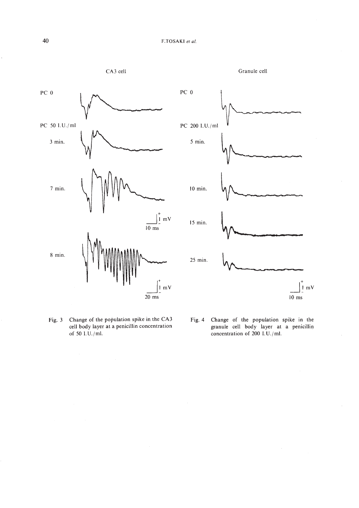





Fig. 3 Change of the population spike in the CA3 cell body layer at a penicillin concentration of 50 I.U./m!.



Fig. 4 Change of the population spike in the granule cell body layer at a penicillin concentration of 200 I.U./ml.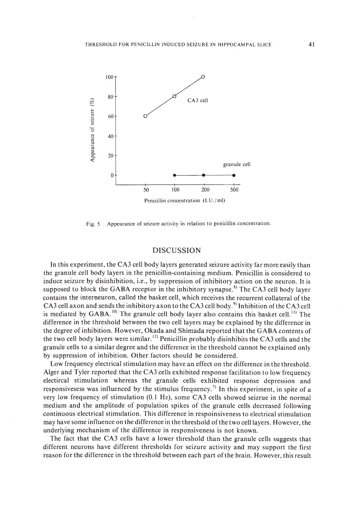

Fig. 5 Appearance of seizure activity in relation to penicillin concentration.

# DISCUSSION

In this experiment, the CA3 cell body layers generated seizure activity far more easily than the granule cell body layers in the penicillin-containing medium. Penicillin is considered to induce seizure by disinhibition, i.e., by suppression of inhibitory action on the neuron. It is supposed to block the GABA receptor in the inhibitory synapse.<sup>8)</sup> The CA3 cell body layer contains the interneuron, called the basket cell, which receives the recurrent collateral of the CA3 cell axon and sends the inhibitory axon to the CA3 cell body.<sup>9</sup> Inhibition of the CA3 cell is mediated by  $GABA$ .<sup>10</sup> The granule cell body layer also contains this basket cell.<sup>11</sup> The difference in the threshold between the two cell layers may be explained by the difference in the degree of inhibition. However, Okada and Shimada reported that the GABA contents of the two cell body layers were similar. 12) Penicillin probably disinhibits the CA3 cells and the granule cells to a similar degree and the difference in the threshold cannot be explained only by suppression of inhibition. Other factors should be considered.

Low frequency electrical stimulation may have an effect on the difference in the threshold. Alger and Tyler reported that the CA3 cells exhibited response facilitation to low frequency electircal stimulation whereas the granule cells exhibited response depression and responsivesess was influenced by the stimulus frequency.?) In this experiment, in spite of a very low frequency of stimulation (0.1 Hz), some CA3 cells showed seizrue in the normal medium and the amplitude of population spikes of the granule cells decreased following continuous electrical stimulation. This difference in respoinsiveness to electrical stimulation may have some influence on the difference in the threshold ofthe two cell layers. However, the underlying mechanism of the difference in responsiveness is not known.

The fact that the CA3 cells have a lower threshold than the granule cells suggests that different neurons have different thresholds for seizure activity and may support the first reason for the difference in the threshold between each part ofthe brain. However, this result